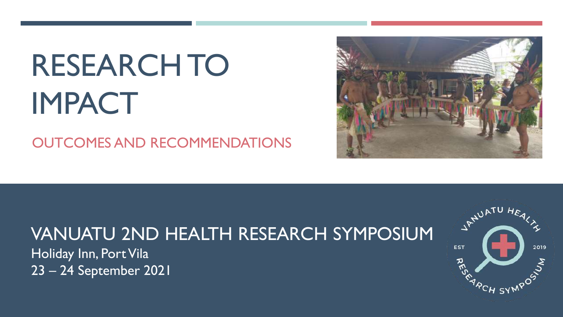# RESEARCH TO IMPACT

OUTCOMES AND RECOMMENDATIONS



# VANUATU 2ND HEALTH RESEARCH SYMPOSIUM

Holiday Inn, Port Vila 23 – 24 September 2021

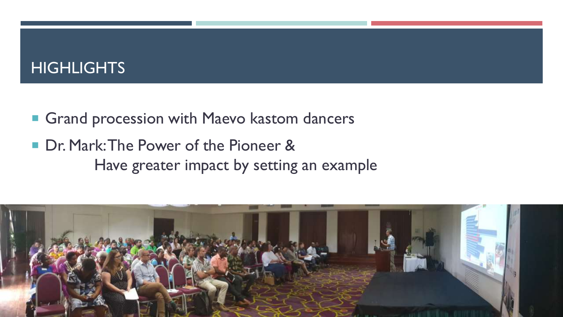#### HIGHLIGHTS

- **Grand procession with Maevo kastom dancers**
- Dr. Mark: The Power of the Pioneer & Have greater impact by setting an example

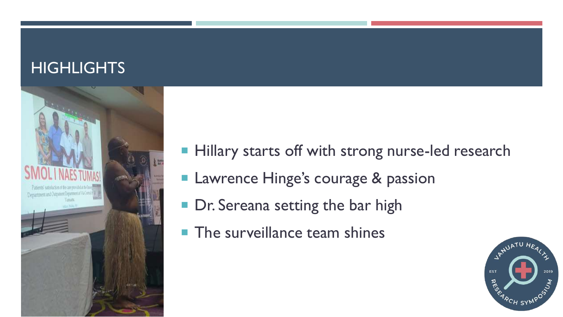#### **HIGHLIGHTS**



- **Hillary starts off with strong nurse-led research**
- **Lawrence Hinge's courage & passion**
- Dr. Sereana setting the bar high
- $\blacksquare$  The surveillance team shines

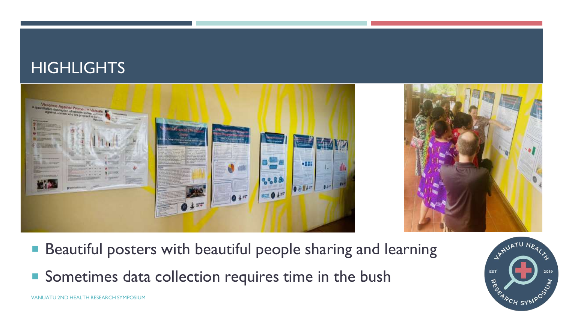#### HIGHLIGHTS





- **Beautiful posters with beautiful people sharing and learning**
- Sometimes data collection requires time in the bush

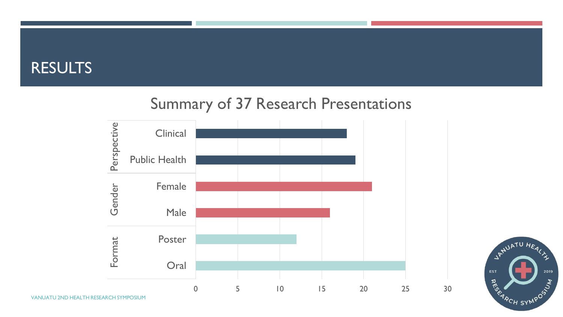#### RESULTS

#### Summary of 37 Research Presentations





VANUATU 2ND HEALTH RESEARCH SYMPOSIUM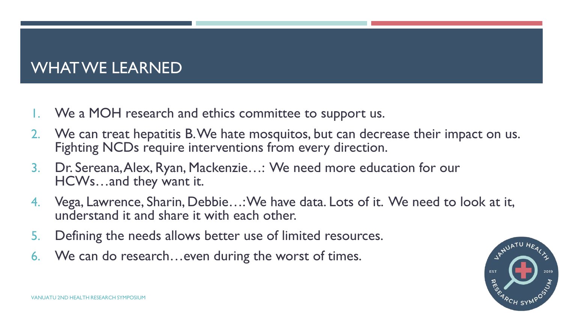#### WHAT WE LEARNED

- 1. We a MOH research and ethics committee to support us.
- 2. We can treat hepatitis B. We hate mosquitos, but can decrease their impact on us. Fighting NCDs require interventions from every direction.
- 3. Dr. Sereana, Alex, Ryan, Mackenzie…: We need more education for our HCWs…and they want it.
- 4. Vega, Lawrence, Sharin, Debbie…: We have data. Lots of it. We need to look at it, understand it and share it with each other.
- 5. Defining the needs allows better use of limited resources.
- 6. We can do research…even during the worst of times.

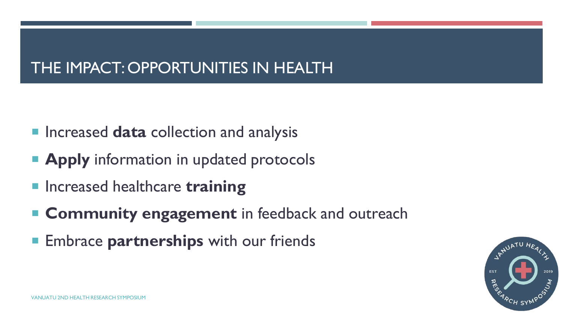## THE IMPACT: OPPORTUNITIES IN HEALTH

- **Increased data collection and analysis**
- **Apply** information in updated protocols
- **E** Increased healthcare **training**
- **EXCommunity engagement** in feedback and outreach
- **Embrace partnerships** with our friends

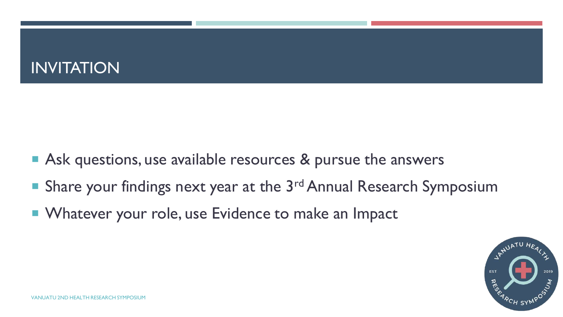#### INVITATION

- Ask questions, use available resources & pursue the answers
- Share your findings next year at the  $3<sup>rd</sup>$  Annual Research Symposium
- **Number 10 Vetor V 10 Volumn 10 Vetor 10 Vetor 10 Vetor 10 Vetor 10 Vetor 10 Vetor 10 Vetor 10 Vetor 10 Vetor 10 Vetor 10 Vetor 10 Vetor 10 Vetor 10 Vetor 10 Vetor 10 Vetor 10 Vetor 10 Vetor 10 Vetor 10 Vetor 10 Vetor 10 V**